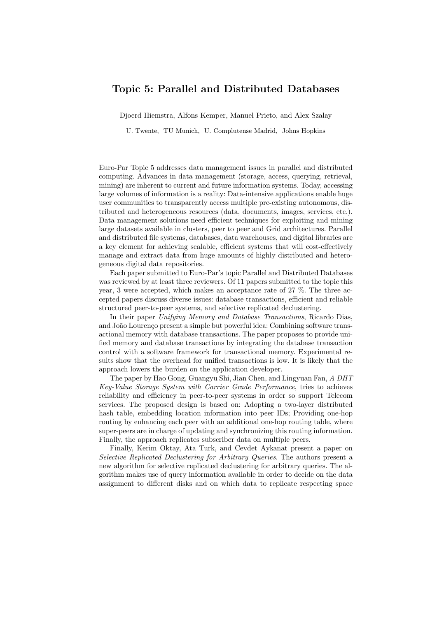## Topic 5: Parallel and Distributed Databases

Djoerd Hiemstra, Alfons Kemper, Manuel Prieto, and Alex Szalay

U. Twente, TU Munich, U. Complutense Madrid, Johns Hopkins

Euro-Par Topic 5 addresses data management issues in parallel and distributed computing. Advances in data management (storage, access, querying, retrieval, mining) are inherent to current and future information systems. Today, accessing large volumes of information is a reality: Data-intensive applications enable huge user communities to transparently access multiple pre-existing autonomous, distributed and heterogeneous resources (data, documents, images, services, etc.). Data management solutions need efficient techniques for exploiting and mining large datasets available in clusters, peer to peer and Grid architectures. Parallel and distributed file systems, databases, data warehouses, and digital libraries are a key element for achieving scalable, efficient systems that will cost-effectively manage and extract data from huge amounts of highly distributed and heterogeneous digital data repositories.

Each paper submitted to Euro-Par's topic Parallel and Distributed Databases was reviewed by at least three reviewers. Of 11 papers submitted to the topic this year, 3 were accepted, which makes an acceptance rate of 27 %. The three accepted papers discuss diverse issues: database transactions, efficient and reliable structured peer-to-peer systems, and selective replicated declustering.

In their paper Unifying Memory and Database Transactions, Ricardo Dias, and João Lourenço present a simple but powerful idea: Combining software transactional memory with database transactions. The paper proposes to provide unified memory and database transactions by integrating the database transaction control with a software framework for transactional memory. Experimental results show that the overhead for unified transactions is low. It is likely that the approach lowers the burden on the application developer.

The paper by Hao Gong, Guangyu Shi, Jian Chen, and Lingyuan Fan, A DHT Key-Value Storage System with Carrier Grade Performance, tries to achieves reliability and efficiency in peer-to-peer systems in order so support Telecom services. The proposed design is based on: Adopting a two-layer distributed hash table, embedding location information into peer IDs; Providing one-hop routing by enhancing each peer with an additional one-hop routing table, where super-peers are in charge of updating and synchronizing this routing information. Finally, the approach replicates subscriber data on multiple peers.

Finally, Kerim Oktay, Ata Turk, and Cevdet Aykanat present a paper on Selective Replicated Declustering for Arbitrary Queries. The authors present a new algorithm for selective replicated declustering for arbitrary queries. The algorithm makes use of query information available in order to decide on the data assignment to different disks and on which data to replicate respecting space